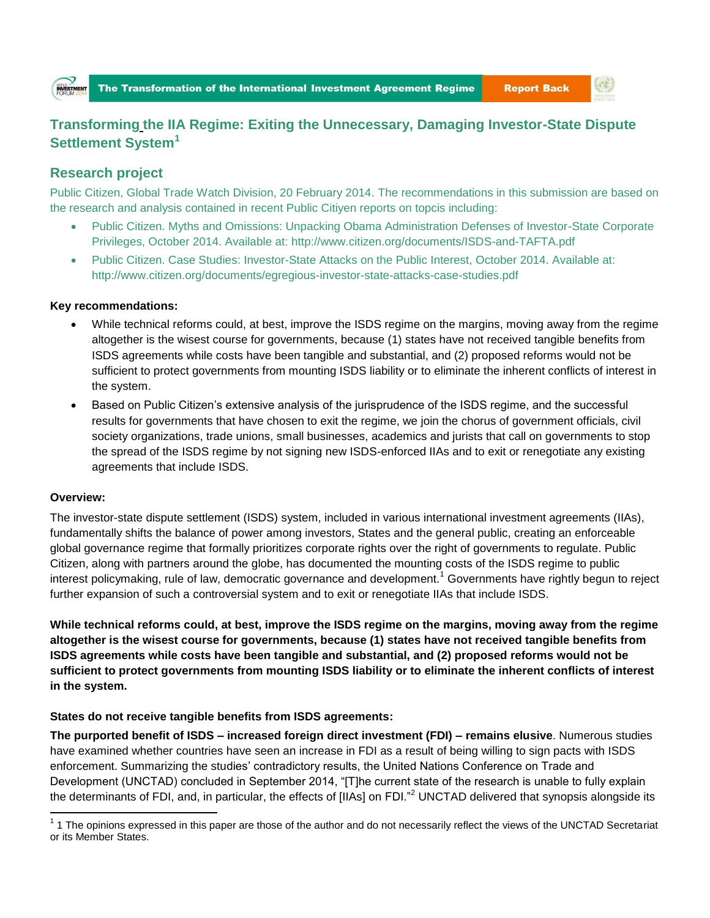

**Report Back** 

# **Transforming the IIA Regime: Exiting the Unnecessary, Damaging Investor-State Dispute Settlement System<sup>1</sup>**

# **Research project**

Public Citizen, Global Trade Watch Division, 20 February 2014. The recommendations in this submission are based on the research and analysis contained in recent Public Citiyen reports on topcis including:

- Public Citizen. Myths and Omissions: Unpacking Obama Administration Defenses of Investor-State Corporate Privileges, October 2014. Available at:<http://www.citizen.org/documents/ISDS-and-TAFTA.pdf>
- Public Citizen. Case Studies: Investor-State Attacks on the Public Interest, October 2014. Available at: <http://www.citizen.org/documents/egregious-investor-state-attacks-case-studies.pdf>

### **Key recommendations:**

- While technical reforms could, at best, improve the ISDS regime on the margins, moving away from the regime altogether is the wisest course for governments, because (1) states have not received tangible benefits from ISDS agreements while costs have been tangible and substantial, and (2) proposed reforms would not be sufficient to protect governments from mounting ISDS liability or to eliminate the inherent conflicts of interest in the system.
- Based on Public Citizen's extensive analysis of the jurisprudence of the ISDS regime, and the successful results for governments that have chosen to exit the regime, we join the chorus of government officials, civil society organizations, trade unions, small businesses, academics and jurists that call on governments to stop the spread of the ISDS regime by not signing new ISDS-enforced IIAs and to exit or renegotiate any existing agreements that include ISDS.

#### **Overview:**

The investor-state dispute settlement (ISDS) system, included in various international investment agreements (IIAs), fundamentally shifts the balance of power among investors, States and the general public, creating an enforceable global governance regime that formally prioritizes corporate rights over the right of governments to regulate. Public Citizen, along with partners around the globe, has documented the mounting costs of the ISDS regime to public interest policymaking, rule of law, democratic governance and development.<sup>1</sup> Governments have rightly begun to reject further expansion of such a controversial system and to exit or renegotiate IIAs that include ISDS.

**While technical reforms could, at best, improve the ISDS regime on the margins, moving away from the regime altogether is the wisest course for governments, because (1) states have not received tangible benefits from ISDS agreements while costs have been tangible and substantial, and (2) proposed reforms would not be sufficient to protect governments from mounting ISDS liability or to eliminate the inherent conflicts of interest in the system.** 

## **States do not receive tangible benefits from ISDS agreements:**

**The purported benefit of ISDS – increased foreign direct investment (FDI) – remains elusive**. Numerous studies have examined whether countries have seen an increase in FDI as a result of being willing to sign pacts with ISDS enforcement. Summarizing the studies' contradictory results, the United Nations Conference on Trade and Development (UNCTAD) concluded in September 2014, "[T]he current state of the research is unable to fully explain the determinants of FDI, and, in particular, the effects of  $[IIAs]$  on FDI."<sup>2</sup> UNCTAD delivered that synopsis alongside its

The opinions expressed in this paper are those of the author and do not necessarily reflect the views of the UNCTAD Secretariat <sup>1</sup> 1 The opinions expressed in this paper are those of the author and do not necessarily refl or its Member States.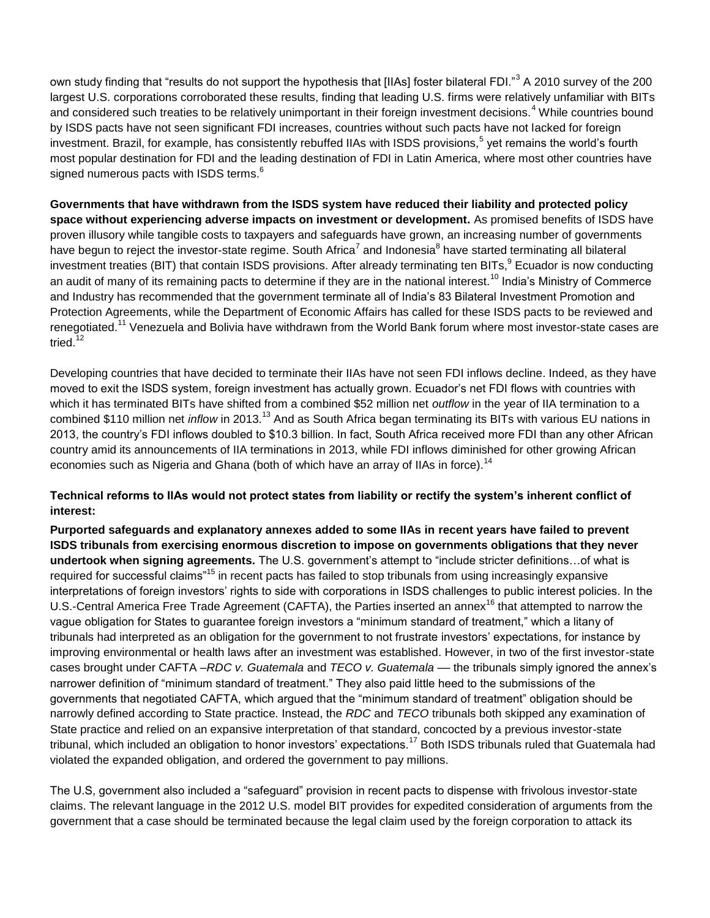own study finding that "results do not support the hypothesis that [IIAs] foster bilateral FDI."<sup>3</sup> A 2010 survey of the 200 largest U.S. corporations corroborated these results, finding that leading U.S. firms were relatively unfamiliar with BITs and considered such treaties to be relatively unimportant in their foreign investment decisions.<sup>4</sup> While countries bound by ISDS pacts have not seen significant FDI increases, countries without such pacts have not lacked for foreign investment. Brazil, for example, has consistently rebuffed IIAs with ISDS provisions,<sup>5</sup> yet remains the world's fourth most popular destination for FDI and the leading destination of FDI in Latin America, where most other countries have signed numerous pacts with ISDS terms.<sup>6</sup>

**Governments that have withdrawn from the ISDS system have reduced their liability and protected policy space without experiencing adverse impacts on investment or development.** As promised benefits of ISDS have proven illusory while tangible costs to taxpayers and safeguards have grown, an increasing number of governments have begun to reject the investor-state regime. South Africa<sup>7</sup> and Indonesia<sup>8</sup> have started terminating all bilateral investment treaties (BIT) that contain ISDS provisions. After already terminating ten BITs, $^9$  Ecuador is now conducting an audit of many of its remaining pacts to determine if they are in the national interest.<sup>10</sup> India's Ministry of Commerce and Industry has recommended that the government terminate all of India's 83 Bilateral Investment Promotion and Protection Agreements, while the Department of Economic Affairs has called for these ISDS pacts to be reviewed and renegotiated.<sup>11</sup> Venezuela and Bolivia have withdrawn from the World Bank forum where most investor-state cases are tried.<sup>12</sup>

Developing countries that have decided to terminate their IIAs have not seen FDI inflows decline. Indeed, as they have moved to exit the ISDS system, foreign investment has actually grown. Ecuador's net FDI flows with countries with which it has terminated BITs have shifted from a combined \$52 million net *outflow* in the year of IIA termination to a combined \$110 million net *inflow* in 2013.<sup>13</sup> And as South Africa began terminating its BITs with various EU nations in 2013, the country's FDI inflows doubled to \$10.3 billion. In fact, South Africa received more FDI than any other African country amid its announcements of IIA terminations in 2013, while FDI inflows diminished for other growing African economies such as Nigeria and Ghana (both of which have an array of IIAs in force).<sup>14</sup>

## **Technical reforms to IIAs would not protect states from liability or rectify the system's inherent conflict of interest:**

**Purported safeguards and explanatory annexes added to some IIAs in recent years have failed to prevent ISDS tribunals from exercising enormous discretion to impose on governments obligations that they never undertook when signing agreements.** The U.S. government's attempt to "include stricter definitions…of what is required for successful claims"<sup>15</sup> in recent pacts has failed to stop tribunals from using increasingly expansive interpretations of foreign investors' rights to side with corporations in ISDS challenges to public interest policies. In the U.S.-Central America Free Trade Agreement (CAFTA), the Parties inserted an annex<sup>16</sup> that attempted to narrow the vague obligation for States to guarantee foreign investors a "minimum standard of treatment," which a litany of tribunals had interpreted as an obligation for the government to not frustrate investors' expectations, for instance by improving environmental or health laws after an investment was established. However, in two of the first investor-state cases brought under CAFTA *–RDC v. Guatemala* and *TECO v. Guatemala* — the tribunals simply ignored the annex's narrower definition of "minimum standard of treatment." They also paid little heed to the submissions of the governments that negotiated CAFTA, which argued that the "minimum standard of treatment" obligation should be narrowly defined according to State practice. Instead, the *RDC* and *TECO* tribunals both skipped any examination of State practice and relied on an expansive interpretation of that standard, concocted by a previous investor-state tribunal, which included an obligation to honor investors' expectations.<sup>17</sup> Both ISDS tribunals ruled that Guatemala had violated the expanded obligation, and ordered the government to pay millions.

The U.S, government also included a "safeguard" provision in recent pacts to dispense with frivolous investor-state claims. The relevant language in the 2012 U.S. model BIT provides for expedited consideration of arguments from the government that a case should be terminated because the legal claim used by the foreign corporation to attack its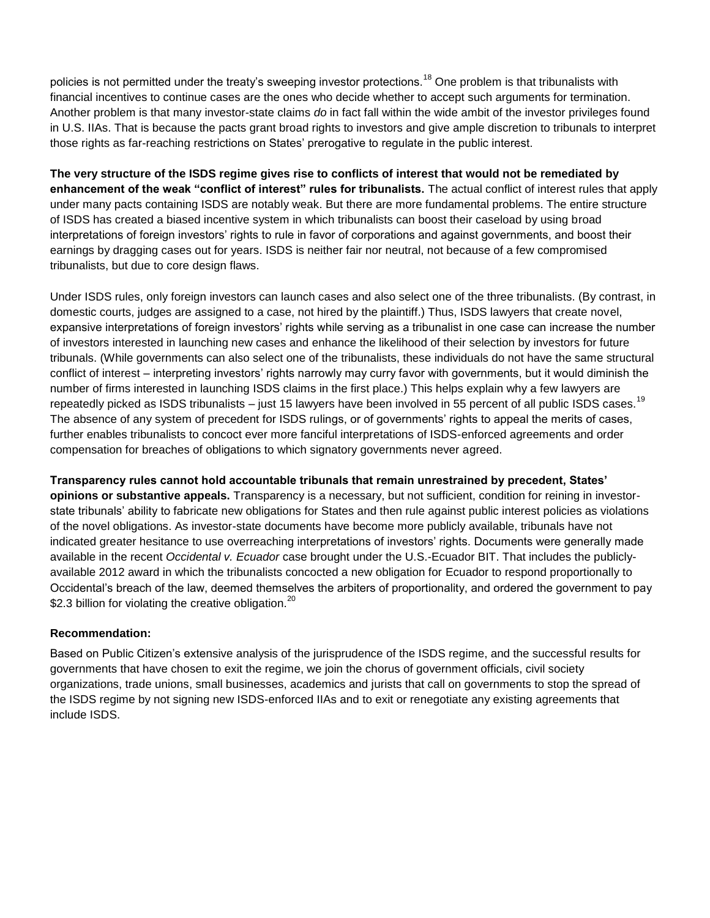policies is not permitted under the treaty's sweeping investor protections.<sup>18</sup> One problem is that tribunalists with financial incentives to continue cases are the ones who decide whether to accept such arguments for termination. Another problem is that many investor-state claims *do* in fact fall within the wide ambit of the investor privileges found in U.S. IIAs. That is because the pacts grant broad rights to investors and give ample discretion to tribunals to interpret those rights as far-reaching restrictions on States' prerogative to regulate in the public interest.

**The very structure of the ISDS regime gives rise to conflicts of interest that would not be remediated by enhancement of the weak "conflict of interest" rules for tribunalists.** The actual conflict of interest rules that apply under many pacts containing ISDS are notably weak. But there are more fundamental problems. The entire structure of ISDS has created a biased incentive system in which tribunalists can boost their caseload by using broad interpretations of foreign investors' rights to rule in favor of corporations and against governments, and boost their earnings by dragging cases out for years. ISDS is neither fair nor neutral, not because of a few compromised tribunalists, but due to core design flaws.

Under ISDS rules, only foreign investors can launch cases and also select one of the three tribunalists. (By contrast, in domestic courts, judges are assigned to a case, not hired by the plaintiff.) Thus, ISDS lawyers that create novel, expansive interpretations of foreign investors' rights while serving as a tribunalist in one case can increase the number of investors interested in launching new cases and enhance the likelihood of their selection by investors for future tribunals. (While governments can also select one of the tribunalists, these individuals do not have the same structural conflict of interest – interpreting investors' rights narrowly may curry favor with governments, but it would diminish the number of firms interested in launching ISDS claims in the first place.) This helps explain why a few lawyers are repeatedly picked as ISDS tribunalists – just 15 lawyers have been involved in 55 percent of all public ISDS cases.<sup>19</sup> The absence of any system of precedent for ISDS rulings, or of governments' rights to appeal the merits of cases, further enables tribunalists to concoct ever more fanciful interpretations of ISDS-enforced agreements and order compensation for breaches of obligations to which signatory governments never agreed.

**Transparency rules cannot hold accountable tribunals that remain unrestrained by precedent, States' opinions or substantive appeals.** Transparency is a necessary, but not sufficient, condition for reining in investorstate tribunals' ability to fabricate new obligations for States and then rule against public interest policies as violations of the novel obligations. As investor-state documents have become more publicly available, tribunals have not indicated greater hesitance to use overreaching interpretations of investors' rights. Documents were generally made available in the recent *Occidental v. Ecuador* case brought under the U.S.-Ecuador BIT. That includes the publiclyavailable 2012 award in which the tribunalists concocted a new obligation for Ecuador to respond proportionally to Occidental's breach of the law, deemed themselves the arbiters of proportionality, and ordered the government to pay \$2.3 billion for violating the creative obligation. $^{20}$ 

## **Recommendation:**

Based on Public Citizen's extensive analysis of the jurisprudence of the ISDS regime, and the successful results for governments that have chosen to exit the regime, we join the chorus of government officials, civil society organizations, trade unions, small businesses, academics and jurists that call on governments to stop the spread of the ISDS regime by not signing new ISDS-enforced IIAs and to exit or renegotiate any existing agreements that include ISDS.